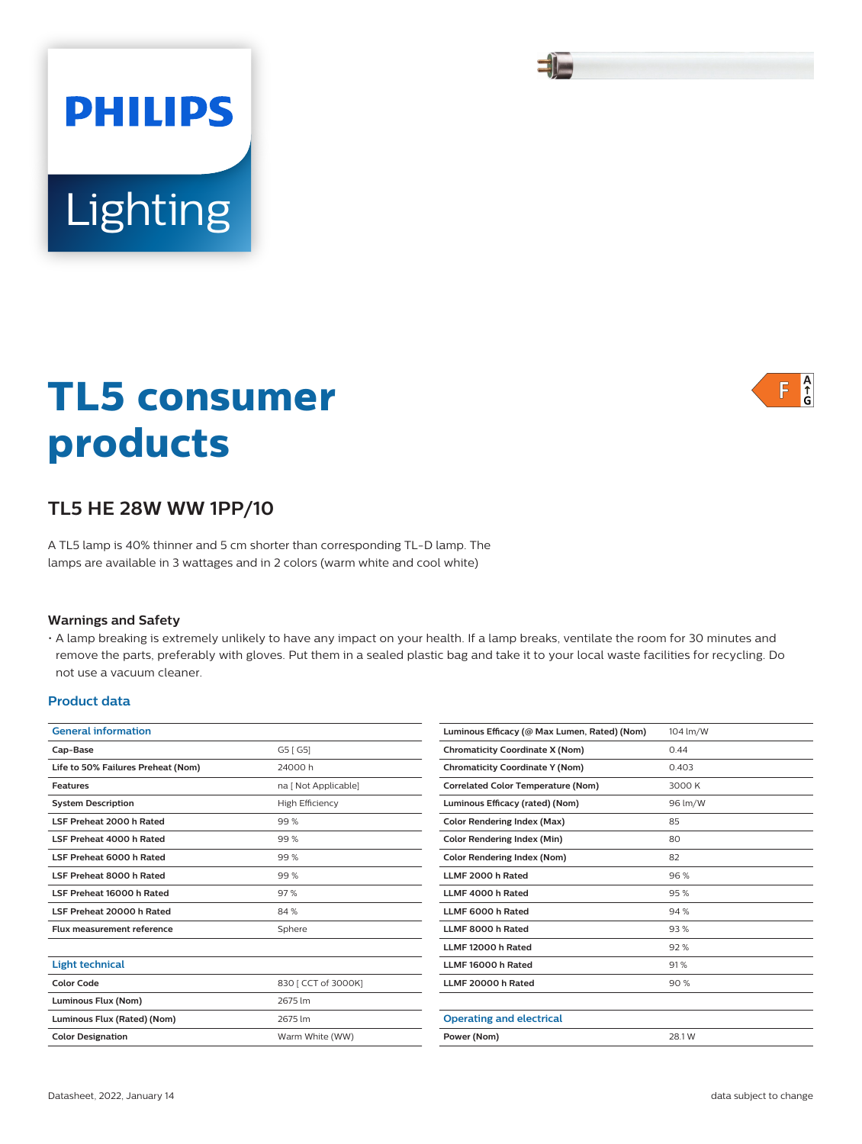# **TL5 consumer products**

# **TL5 HE 28W WW 1PP/10**

Lighting

**PHILIPS** 

A TL5 lamp is 40% thinner and 5 cm shorter than corresponding TL-D lamp. The lamps are available in 3 wattages and in 2 colors (warm white and cool white)

### **Warnings and Safety**

• A lamp breaking is extremely unlikely to have any impact on your health. If a lamp breaks, ventilate the room for 30 minutes and remove the parts, preferably with gloves. Put them in a sealed plastic bag and take it to your local waste facilities for recycling. Do not use a vacuum cleaner.

### **Product data**

| G5 [ G5]<br>24000h<br>na [ Not Applicable]<br><b>High Efficiency</b> | Cap-Base<br>Life to 50% Failures Preheat (Nom)<br><b>Features</b> |  |
|----------------------------------------------------------------------|-------------------------------------------------------------------|--|
|                                                                      |                                                                   |  |
|                                                                      |                                                                   |  |
|                                                                      |                                                                   |  |
|                                                                      | <b>System Description</b>                                         |  |
| 99%                                                                  | LSF Preheat 2000 h Rated                                          |  |
| 99%                                                                  | LSF Preheat 4000 h Rated                                          |  |
| 99%                                                                  | LSF Preheat 6000 h Rated                                          |  |
| 99%                                                                  | LSF Preheat 8000 h Rated                                          |  |
| 97%                                                                  | LSF Preheat 16000 h Rated                                         |  |
| 84%                                                                  | LSF Preheat 20000 h Rated                                         |  |
| Sphere                                                               | <b>Flux measurement reference</b>                                 |  |
|                                                                      |                                                                   |  |
|                                                                      | <b>Light technical</b>                                            |  |
|                                                                      | <b>Color Code</b>                                                 |  |
| 830 [ CCT of 3000K]                                                  |                                                                   |  |
| 2675 lm                                                              | Luminous Flux (Nom)                                               |  |
| 2675 lm                                                              | Luminous Flux (Rated) (Nom)                                       |  |
|                                                                      |                                                                   |  |

| <b>Chromaticity Coordinate X (Nom)</b><br>0.44<br>0.403<br>3000 K<br>96 lm/W<br>85<br>80<br>82<br>96%<br>95%<br>94 %                                                                                                                                                                                    |
|---------------------------------------------------------------------------------------------------------------------------------------------------------------------------------------------------------------------------------------------------------------------------------------------------------|
| <b>Chromaticity Coordinate Y (Nom)</b><br><b>Correlated Color Temperature (Nom)</b><br>Luminous Efficacy (rated) (Nom)<br><b>Color Rendering Index (Max)</b><br><b>Color Rendering Index (Min)</b><br><b>Color Rendering Index (Nom)</b><br>LLMF 2000 h Rated<br>LLMF 4000 h Rated<br>LLMF 6000 h Rated |
|                                                                                                                                                                                                                                                                                                         |
|                                                                                                                                                                                                                                                                                                         |
|                                                                                                                                                                                                                                                                                                         |
|                                                                                                                                                                                                                                                                                                         |
|                                                                                                                                                                                                                                                                                                         |
|                                                                                                                                                                                                                                                                                                         |
|                                                                                                                                                                                                                                                                                                         |
|                                                                                                                                                                                                                                                                                                         |
|                                                                                                                                                                                                                                                                                                         |
| LLMF 8000 h Rated<br>93%                                                                                                                                                                                                                                                                                |
| LLMF 12000 h Rated<br>92%                                                                                                                                                                                                                                                                               |
| LLMF 16000 h Rated<br>91%                                                                                                                                                                                                                                                                               |
| LLMF 20000 h Rated<br>90%                                                                                                                                                                                                                                                                               |
|                                                                                                                                                                                                                                                                                                         |
| <b>Operating and electrical</b>                                                                                                                                                                                                                                                                         |
| Power (Nom)<br>28.1 W                                                                                                                                                                                                                                                                                   |



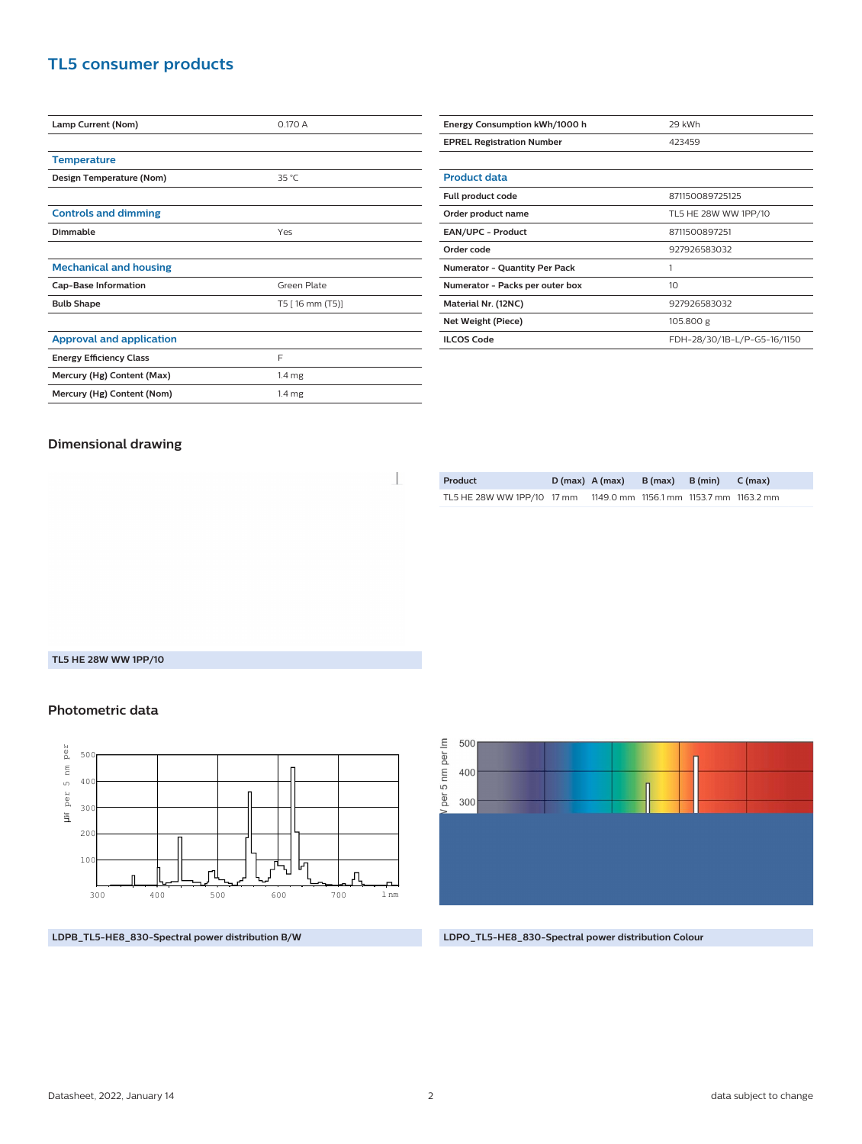# **TL5 consumer products**

| Lamp Current (Nom)              | 0.170A            |  |  |
|---------------------------------|-------------------|--|--|
|                                 |                   |  |  |
| <b>Temperature</b>              |                   |  |  |
| Design Temperature (Nom)        | $35^{\circ}$ C    |  |  |
|                                 |                   |  |  |
| <b>Controls and dimming</b>     |                   |  |  |
| Dimmable                        | Yes               |  |  |
|                                 |                   |  |  |
| <b>Mechanical and housing</b>   |                   |  |  |
| <b>Cap-Base Information</b>     | Green Plate       |  |  |
| <b>Bulb Shape</b>               | T5 [ 16 mm (T5)]  |  |  |
|                                 |                   |  |  |
| <b>Approval and application</b> |                   |  |  |
| <b>Energy Efficiency Class</b>  | F                 |  |  |
| Mercury (Hg) Content (Max)      | 1.4 <sub>mg</sub> |  |  |
| Mercury (Hg) Content (Nom)      | 1.4 <sub>mg</sub> |  |  |

| Energy Consumption kWh/1000 h        | 29 kWh                      |  |  |
|--------------------------------------|-----------------------------|--|--|
| <b>EPREL Registration Number</b>     | 423459                      |  |  |
|                                      |                             |  |  |
| <b>Product data</b>                  |                             |  |  |
| Full product code                    | 871150089725125             |  |  |
| Order product name                   | TL5 HE 28W WW 1PP/10        |  |  |
| <b>EAN/UPC - Product</b>             | 8711500897251               |  |  |
| Order code                           | 927926583032                |  |  |
| <b>Numerator - Quantity Per Pack</b> | 1                           |  |  |
| Numerator - Packs per outer box      | 10                          |  |  |
| Material Nr. (12NC)                  | 927926583032                |  |  |
| Net Weight (Piece)                   | 105.800 g                   |  |  |
| <b>ILCOS Code</b>                    | FDH-28/30/1B-L/P-G5-16/1150 |  |  |

### **Dimensional drawing**

 $\begin{array}{c} \hline \end{array}$ 

| Product                    | $D(max)$ A (max)                        | B (max) B (min) C (max) |  |
|----------------------------|-----------------------------------------|-------------------------|--|
| TL5 HE 28W WW 1PP/10 17 mm | 1149.0 mm 1156.1 mm 1153.7 mm 1163.2 mm |                         |  |

#### **TL5 HE 28W WW 1PP/10**

#### **Photometric data**